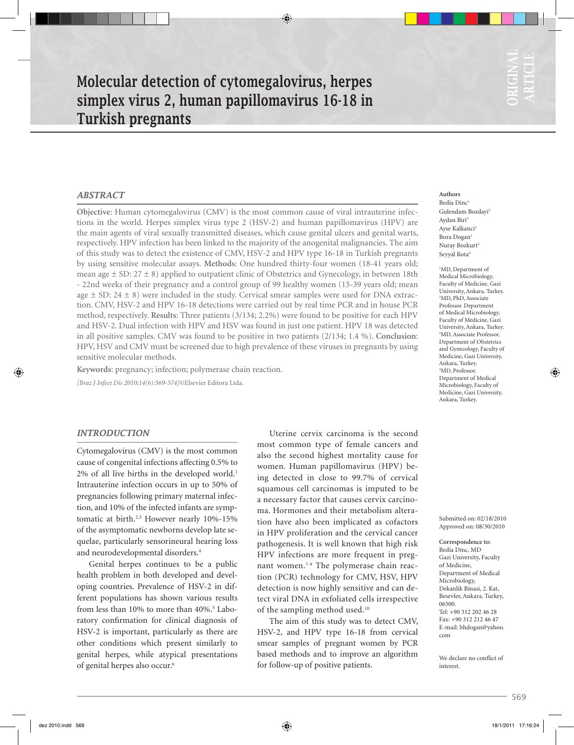# Molecular detection of cytomegalovirus, herpes simplex virus 2, human papillomavirus 16-18 in Turkish pregnants

# *ABSTRACT*

**Objective**: Human cytomegalovirus (CMV) is the most common cause of viral intrauterine infections in the world. Herpes simplex virus type 2 (HSV-2) and human papillomavirus (HPV) are the main agents of viral sexually transmitted diseases, which cause genital ulcers and genital warts, respectively. HPV infection has been linked to the majority of the anogenital malignancies. The aim of this study was to detect the existence of CMV, HSV-2 and HPV type 16-18 in Turkish pregnants by using sensitive molecular assays. **Methods**: One hundred thirty-four women (18-41 years old; mean age  $\pm$  SD: 27  $\pm$  8) applied to outpatient clinic of Obstetrics and Gynecology, in between 18th - 22nd weeks of their pregnancy and a control group of 99 healthy women (15-39 years old; mean age  $\pm$  SD: 24  $\pm$  8) were included in the study. Cervical smear samples were used for DNA extraction. CMV, HSV-2 and HPV 16-18 detections were carried out by real time PCR and in house PCR method, respectively. **Results**: Three patients (3/134; 2.2%) were found to be positive for each HPV and HSV-2. Dual infection with HPV and HSV was found in just one patient. HPV 18 was detected in all positive samples. CMV was found to be positive in two patients (2/134; 1.4 %). **Conclusion**: HPV, HSV and CMV must be screened due to high prevalence of these viruses in pregnants by using sensitive molecular methods.

**Keywords**: pregnancy; infection; polymerase chain reaction. *[Braz J Infect Dis 2010;14(6):569-574]*©Elsevier Editora Ltda.

# *INTRODUCTION*

Cytomegalovirus (CMV) is the most common cause of congenital infections affecting 0.5% to  $2\%$  of all live births in the developed world.<sup>1</sup> Intrauterine infection occurs in up to 50% of pregnancies following primary maternal infection, and 10% of the infected infants are symptomatic at birth.<sup>2,3</sup> However nearly 10%-15% of the asymptomatic newborns develop late sequelae, particularly sensorineural hearing loss and neurodevelopmental disorders.4

Genital herpes continues to be a public health problem in both developed and developing countries. Prevalence of HSV-2 in different populations has shown various results from less than 10% to more than 40%.<sup>5</sup> Laboratory confirmation for clinical diagnosis of HSV-2 is important, particularly as there are other conditions which present similarly to genital herpes, while atypical presentations of genital herpes also occur.<sup>6</sup>

Uterine cervix carcinoma is the second most common type of female cancers and also the second highest mortality cause for women. Human papillomavirus (HPV) being detected in close to 99.7% of cervical squamous cell carcinomas is imputed to be a necessary factor that causes cervix carcinoma. Hormones and their metabolism alteration have also been implicated as cofactors in HPV proliferation and the cervical cancer pathogenesis. It is well known that high risk HPV infections are more frequent in pregnant women.<sup>7-9</sup> The polymerase chain reaction (PCR) technology for CMV, HSV, HPV detection is now highly sensitive and can detect viral DNA in exfoliated cells irrespective of the sampling method used.10

The aim of this study was to detect CMV, HSV-2, and HPV type 16-18 from cervical smear samples of pregnant women by PCR based methods and to improve an algorithm for follow-up of positive patients.

**Authors** Bedia Dinc1 Gulendam Bozdayi2 Aydan Biri<sup>3</sup> Ayse Kalkanci<sup>2</sup> Bora Dogan<sup>1</sup> Nuray Bozkurt<sup>3</sup> Seyyal Rota4

<sup>1</sup>MD, Department of Medical Microbiology, Faculty of Medicine, Gazi University, Ankara, Turkey. 2 MD, PhD, Associate Professor. Department of Medical Microbiology, Faculty of Medicine, Gazi University, Ankara, Turkey. 3 MD, Associate Professor. Department of Obstetrics and Gynecology, Faculty of Medicine, Gazi University, Ankara, Turkey. 4 MD, Professor. Department of Medical Microbiology, Faculty of Medicine, Gazi University, Ankara, Turkey.

Submitted on: 02/18/2010 Approved on: 08/30/2010

**Correspondence to:**  Bedia Dinc, MD Gazi University, Faculty of Medicine, Department of Medical Microbiology, Dekanlik Binasi, 2. Kat, Besevler, Ankara, Turkey, 06500. Tel: +90 312 202 46 28  $F_{2X}$ :  $+90$  312 212 46 47 E-mail: bhdogan@yahoo. com

We declare no conflict of interest.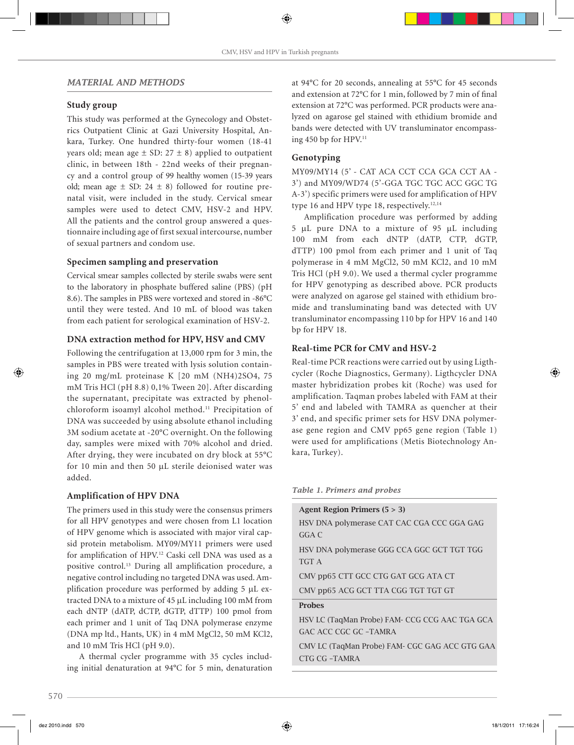# *MATERIAL AND METHODS*

# **Study group**

This study was performed at the Gynecology and Obstetrics Outpatient Clinic at Gazi University Hospital, Ankara, Turkey. One hundred thirty-four women (18-41 years old; mean age  $\pm$  SD: 27  $\pm$  8) applied to outpatient clinic, in between 18th - 22nd weeks of their pregnancy and a control group of 99 healthy women (15-39 years old; mean age  $\pm$  SD: 24  $\pm$  8) followed for routine prenatal visit, were included in the study. Cervical smear samples were used to detect CMV, HSV-2 and HPV. All the patients and the control group answered a questionnaire including age of first sexual intercourse, number of sexual partners and condom use.

### **Specimen sampling and preservation**

Cervical smear samples collected by sterile swabs were sent to the laboratory in phosphate buffered saline (PBS) (pH 8.6). The samples in PBS were vortexed and stored in -86°C until they were tested. And 10 mL of blood was taken from each patient for serological examination of HSV-2.

# **DNA extraction method for HPV, HSV and CMV**

Following the centrifugation at 13,000 rpm for 3 min, the samples in PBS were treated with lysis solution containing 20 mg/mL proteinase K [20 mM (NH4)2SO4, 75 mM Tris HCl (pH 8.8) 0,1% Tween 20]. After discarding the supernatant, precipitate was extracted by phenolchloroform isoamyl alcohol method.11 Precipitation of DNA was succeeded by using absolute ethanol including 3M sodium acetate at -20°C overnight. On the following day, samples were mixed with 70% alcohol and dried. After drying, they were incubated on dry block at 55°C for 10 min and then 50 µL sterile deionised water was added.

# **Amplification of HPV DNA**

The primers used in this study were the consensus primers for all HPV genotypes and were chosen from L1 location of HPV genome which is associated with major viral capsid protein metabolism. MY09/MY11 primers were used for amplification of HPV.<sup>12</sup> Caski cell DNA was used as a positive control.<sup>13</sup> During all amplification procedure, a negative control including no targeted DNA was used. Amplification procedure was performed by adding 5 µL extracted DNA to a mixture of 45 µL including 100 mM from each dNTP (dATP, dCTP, dGTP, dTTP) 100 pmol from each primer and 1 unit of Taq DNA polymerase enzyme (DNA mp ltd., Hants, UK) in 4 mM MgCl2, 50 mM KCl2, and 10 mM Tris HCl (pH 9.0).

A thermal cycler programme with 35 cycles including initial denaturation at 94°C for 5 min, denaturation at 94°C for 20 seconds, annealing at 55°C for 45 seconds and extension at 72°C for 1 min, followed by 7 min of final extension at 72°C was performed. PCR products were analyzed on agarose gel stained with ethidium bromide and bands were detected with UV transluminator encompassing 450 bp for HPV.<sup>11</sup>

# **Genotyping**

MY09/MY14 (5' - CAT ACA CCT CCA GCA CCT AA - 3') and MY09/WD74 (5'-GGA TGC TGC ACC GGC TG A-3') specific primers were used for amplification of HPV type 16 and HPV type 18, respectively.<sup>12,14</sup>

Amplification procedure was performed by adding 5 µL pure DNA to a mixture of 95 µL including 100 mM from each dNTP (dATP, CTP, dGTP, dTTP) 100 pmol from each primer and 1 unit of Taq polymerase in 4 mM MgCl2, 50 mM KCl2, and 10 mM Tris HCl (pH 9.0). We used a thermal cycler programme for HPV genotyping as described above. PCR products were analyzed on agarose gel stained with ethidium bromide and transluminating band was detected with UV transluminator encompassing 110 bp for HPV 16 and 140 bp for HPV 18.

# **Real-time PCR for CMV and HSV-2**

Real-time PCR reactions were carried out by using Ligthcycler (Roche Diagnostics, Germany). Ligthcycler DNA master hybridization probes kit (Roche) was used for amplification. Taqman probes labeled with FAM at their 5' end and labeled with TAMRA as quencher at their 3' end, and specific primer sets for HSV DNA polymerase gene region and CMV pp65 gene region (Table 1) were used for amplifications (Metis Biotechnology Ankara, Turkey).

#### *Table 1. Primers and probes*

| Agent Region Primers $(5 > 3)$                             |
|------------------------------------------------------------|
| HSV DNA polymerase CAT CAC CGA CCC GGA GAG                 |
| GGA C                                                      |
| HSV DNA polymerase GGG CCA GGC GCT TGT TGG                 |
| <b>TGT A</b>                                               |
| CMV pp65 CTT GCC CTG GAT GCG ATA CT                        |
| CMV pp65 ACG GCT TTA CGG TGT TGT GT                        |
| <b>Probes</b>                                              |
| HSV LC (TaqMan Probe) FAM- CCG CCG AAC TGA GCA             |
| GAC ACC CGC GC -TAMRA                                      |
| $CMUIC$ (TagMan Probo) $EMC$ $CCC$ $CAC$ $ACC$ $CTC$ $CAA$ |

CMV LC (TaqMan Probe) FAM- CGC GAG ACC GTG GAA CTG CG –TAMRA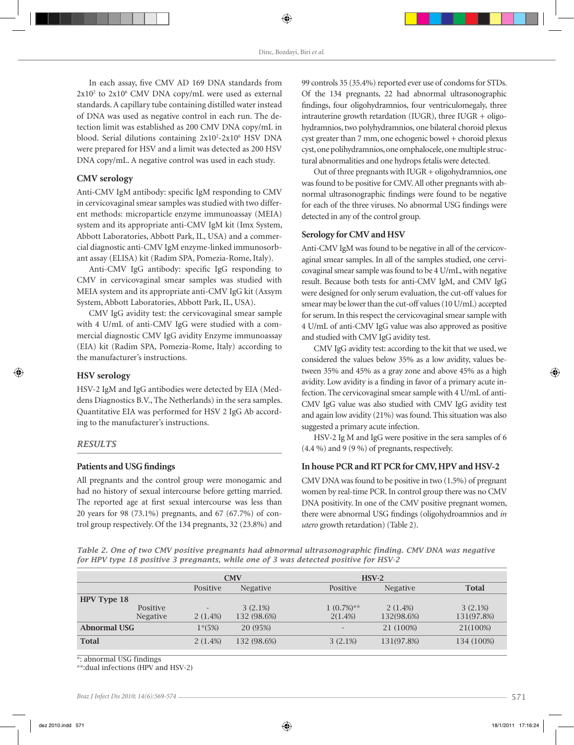In each assay, five CMV AD 169 DNA standards from 2x10<sup>2</sup> to 2x10<sup>6</sup> CMV DNA copy/mL were used as external standards. A capillary tube containing distilled water instead of DNA was used as negative control in each run. The detection limit was established as 200 CMV DNA copy/mL in blood. Serial dilutions containing 2x10<sup>2</sup>-2x10<sup>6</sup> HSV DNA were prepared for HSV and a limit was detected as 200 HSV DNA copy/mL. A negative control was used in each study.

#### **CMV serology**

Anti-CMV IgM antibody: specific IgM responding to CMV in cervicovaginal smear samples was studied with two different methods: microparticle enzyme immunoassay (MEIA) system and its appropriate anti-CMV IgM kit (Imx System, Abbott Laboratories, Abbott Park, IL, USA) and a commercial diagnostic anti-CMV IgM enzyme-linked immunosorbant assay (ELISA) kit (Radim SPA, Pomezia-Rome, Italy).

Anti-CMV IgG antibody: specific IgG responding to CMV in cervicovaginal smear samples was studied with MEIA system and its appropriate anti-CMV IgG kit (Axsym System, Abbott Laboratories, Abbott Park, IL, USA).

CMV IgG avidity test: the cervicovaginal smear sample with 4 U/mL of anti-CMV IgG were studied with a commercial diagnostic CMV IgG avidity Enzyme immunoassay (EIA) kit (Radim SPA, Pomezia-Rome, Italy) according to the manufacturer's instructions.

### **HSV serology**

HSV-2 IgM and IgG antibodies were detected by EIA (Meddens Diagnostics B.V., The Netherlands) in the sera samples. Quantitative EIA was performed for HSV 2 IgG Ab according to the manufacturer's instructions.

#### *RESULTS*

#### **Patients and USG findings**

All pregnants and the control group were monogamic and had no history of sexual intercourse before getting married. The reported age at first sexual intercourse was less than 20 years for 98 (73.1%) pregnants, and 67 (67.7%) of control group respectively. Of the 134 pregnants, 32 (23.8%) and 99 controls 35 (35.4%) reported ever use of condoms for STDs. Of the 134 pregnants, 22 had abnormal ultrasonographic findings, four oligohydramnios, four ventriculomegaly, three intrauterine growth retardation (IUGR), three IUGR + oligohydramnios, two polyhydramnios, one bilateral choroid plexus cyst greater than 7 mm, one echogenic bowel + choroid plexus cyst, one polihydramnios, one omphalocele, one multiple structural abnormalities and one hydrops fetalis were detected.

Out of three pregnants with IUGR + oligohydramnios, one was found to be positive for CMV. All other pregnants with abnormal ultrasonographic findings were found to be negative for each of the three viruses. No abnormal USG findings were detected in any of the control group.

#### **Serology for CMV and HSV**

Anti-CMV IgM was found to be negative in all of the cervicovaginal smear samples. In all of the samples studied, one cervicovaginal smear sample was found to be 4 U/mL, with negative result. Because both tests for anti-CMV IgM, and CMV IgG were designed for only serum evaluation, the cut-off values for smear may be lower than the cut-off values (10 U/mL) accepted for serum. In this respect the cervicovaginal smear sample with 4 U/mL of anti-CMV IgG value was also approved as positive and studied with CMV IgG avidity test.

CMV IgG avidity test: according to the kit that we used, we considered the values below 35% as a low avidity, values between 35% and 45% as a gray zone and above 45% as a high avidity. Low avidity is a finding in favor of a primary acute infection. The cervicovaginal smear sample with 4 U/mL of anti-CMV IgG value was also studied with CMV IgG avidity test and again low avidity (21%) was found. This situation was also suggested a primary acute infection.

HSV-2 Ig M and IgG were positive in the sera samples of 6 (4.4 %) and 9 (9 %) of pregnants, respectively.

# **In house PCR and RT PCR for CMV, HPV and HSV-2**

CMV DNA was found to be positive in two (1.5%) of pregnant women by real-time PCR. In control group there was no CMV DNA positivity. In one of the CMV positive pregnant women, there were abnormal USG findings (oligohydroamnios and *in utero* growth retardation) (Table 2).

*Table 2. One of two CMV positive pregnants had abnormal ultrasonographic finding. CMV DNA was negative for HPV type 18 positive 3 pregnants, while one of 3 was detected positive for HSV-2*

|                     |                 | <b>CMV</b> |                 |                          | $HSV-2$         |              |
|---------------------|-----------------|------------|-----------------|--------------------------|-----------------|--------------|
|                     |                 | Positive   | <b>Negative</b> | Positive                 | <b>Negative</b> | <b>Total</b> |
| HPV Type 18         |                 |            |                 |                          |                 |              |
|                     | Positive        |            | 3(2.1%)         | $1(0.7\%)**$             | $2(1.4\%)$      | 3(2.1%)      |
|                     | <b>Negative</b> | 2(1.4%)    | 132 (98.6%)     | 2(1.4%)                  | 132(98.6%)      | 131(97.8%)   |
| <b>Abnormal USG</b> |                 | $1*(5%)$   | 20 (95%)        | $\overline{\phantom{a}}$ | 21 (100%)       | 21(100%)     |
| <b>Total</b>        |                 | 2(1.4%)    | 132 (98.6%)     | 3(2.1%)                  | 131(97.8%)      | 134 (100%)   |

\*: abnormal USG findings

\*\*:dual infections (HPV and HSV-2)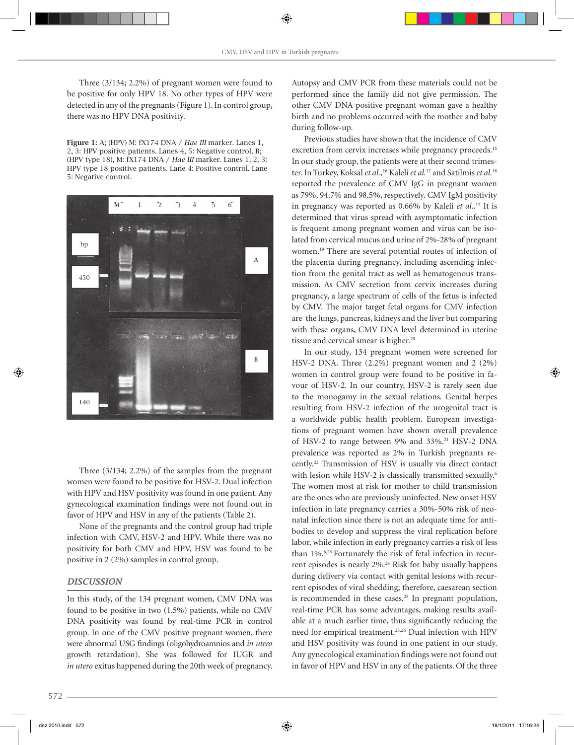Three (3/134; 2.2%) of pregnant women were found to be positive for only HPV 18. No other types of HPV were detected in any of the pregnants (Figure 1). In control group, there was no HPV DNA positivity.

Figure 1: A; (HPV) M: fX174 DNA / *Hae III* marker. Lanes 1, 2, 3: HPV positive patients. Lanes 4, 5: Negative control, B; (HPV type 18), M: fX174 DNA / *Hae III* marker. Lanes 1, 2, 3: HPV type 18 positive patients. Lane 4: Positive control. Lane 5: Negative control.



Three (3/134; 2.2%) of the samples from the pregnant women were found to be positive for HSV-2. Dual infection with HPV and HSV positivity was found in one patient. Any gynecological examination findings were not found out in favor of HPV and HSV in any of the patients (Table 2).

None of the pregnants and the control group had triple infection with CMV, HSV-2 and HPV. While there was no positivity for both CMV and HPV, HSV was found to be positive in 2 (2%) samples in control group.

#### *DISCUSSION*

In this study, of the 134 pregnant women, CMV DNA was found to be positive in two (1.5%) patients, while no CMV DNA positivity was found by real-time PCR in control group. In one of the CMV positive pregnant women, there were abnormal USG findings (oligohydroamnios and *in utero* growth retardation). She was followed for IUGR and *in utero* exitus happened during the 20th week of pregnancy. Autopsy and CMV PCR from these materials could not be performed since the family did not give permission. The other CMV DNA positive pregnant woman gave a healthy birth and no problems occurred with the mother and baby during follow-up.

Previous studies have shown that the incidence of CMV excretion from cervix increases while pregnancy proceeds.<sup>15</sup> In our study group, the patients were at their second trimester. In Turkey, Koksal *et al.,*16 Kaleli *et al.*17 and Satilmis *et al.*<sup>18</sup> reported the prevalence of CMV IgG in pregnant women as 79%, 94.7% and 98.5%, respectively. CMV IgM positivity in pregnancy was reported as 0.66% by Kaleli *et al.*. 17 It is determined that virus spread with asymptomatic infection is frequent among pregnant women and virus can be isolated from cervical mucus and urine of 2%-28% of pregnant women.19 There are several potential routes of infection of the placenta during pregnancy, including ascending infection from the genital tract as well as hematogenous transmission. As CMV secretion from cervix increases during pregnancy, a large spectrum of cells of the fetus is infected by CMV. The major target fetal organs for CMV infection are the lungs, pancreas, kidneys and the liver but comparing with these organs, CMV DNA level determined in uterine tissue and cervical smear is higher.<sup>20</sup>

In our study, 134 pregnant women were screened for HSV-2 DNA. Three (2.2%) pregnant women and 2 (2%) women in control group were found to be positive in favour of HSV-2. In our country, HSV-2 is rarely seen due to the monogamy in the sexual relations. Genital herpes resulting from HSV-2 infection of the urogenital tract is a worldwide public health problem. European investigations of pregnant women have shown overall prevalence of HSV-2 to range between 9% and 33%.<sup>21</sup> HSV-2 DNA prevalence was reported as 2% in Turkish pregnants recently.22 Transmission of HSV is usually via direct contact with lesion while HSV-2 is classically transmitted sexually.<sup>6</sup> The women most at risk for mother to child transmission are the ones who are previously uninfected. New onset HSV infection in late pregnancy carries a 30%-50% risk of neonatal infection since there is not an adequate time for antibodies to develop and suppress the viral replication before labor, while infection in early pregnancy carries a risk of less than 1%.<sup>6,23</sup> Fortunately the risk of fetal infection in recurrent episodes is nearly 2%.24 Risk for baby usually happens during delivery via contact with genital lesions with recurrent episodes of viral shedding; therefore, caesarean section is recommended in these cases.<sup>25</sup> In pregnant population, real-time PCR has some advantages, making results available at a much earlier time, thus significantly reducing the need for empirical treatment.23,26 Dual infection with HPV and HSV positivity was found in one patient in our study. Any gynecological examination findings were not found out in favor of HPV and HSV in any of the patients. Of the three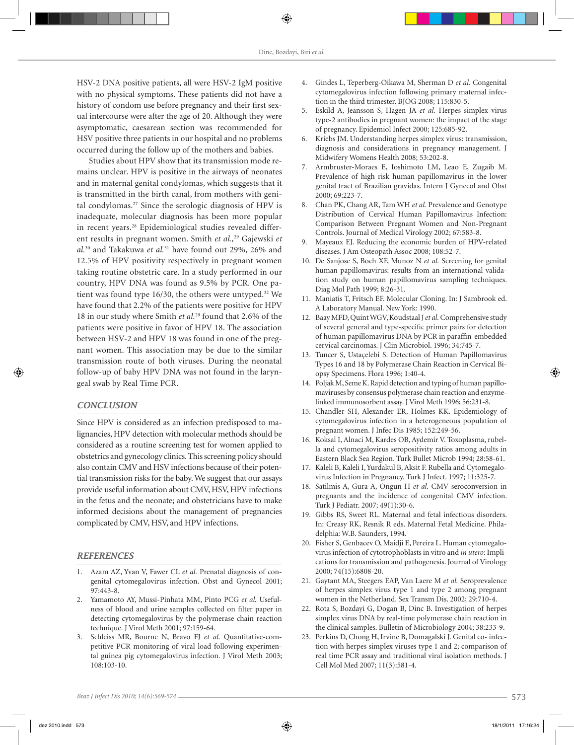HSV-2 DNA positive patients, all were HSV-2 IgM positive with no physical symptoms. These patients did not have a history of condom use before pregnancy and their first sexual intercourse were after the age of 20. Although they were asymptomatic, caesarean section was recommended for HSV positive three patients in our hospital and no problems occurred during the follow up of the mothers and babies.

Studies about HPV show that its transmission mode remains unclear. HPV is positive in the airways of neonates and in maternal genital condylomas, which suggests that it is transmitted in the birth canal, from mothers with genital condylomas.27 Since the serologic diagnosis of HPV is inadequate, molecular diagnosis has been more popular in recent years.28 Epidemiological studies revealed different results in pregnant women. Smith *et al.*,<sup>29</sup> Gajewski *et al.*30 and Takakuwa *et al.*31 have found out 29%, 26% and 12.5% of HPV positivity respectively in pregnant women taking routine obstetric care. In a study performed in our country, HPV DNA was found as 9.5% by PCR. One patient was found type 16/30, the others were untyped.<sup>32</sup> We have found that 2.2% of the patients were positive for HPV 18 in our study where Smith *et al.*29 found that 2.6% of the patients were positive in favor of HPV 18. The association between HSV-2 and HPV 18 was found in one of the pregnant women. This association may be due to the similar transmission route of both viruses. During the neonatal follow-up of baby HPV DNA was not found in the laryngeal swab by Real Time PCR.

# *CONCLUSION*

Since HPV is considered as an infection predisposed to malignancies, HPV detection with molecular methods should be considered as a routine screening test for women applied to obstetrics and gynecology clinics. This screening policy should also contain CMV and HSV infections because of their potential transmission risks for the baby. We suggest that our assays provide useful information about CMV, HSV, HPV infections in the fetus and the neonate; and obstetricians have to make informed decisions about the management of pregnancies complicated by CMV, HSV, and HPV infections.

#### *REFERENCES*

- 1. Azam AZ, Yvan V, Fawer CL *et al.* Prenatal diagnosis of congenital cytomegalovirus infection. Obst and Gynecol 2001; 97:443-8.
- 2. Yamamoto AY, Mussi-Pinhata MM, Pinto PCG *et al.* Usefulness of blood and urine samples collected on filter paper in detecting cytomegalovirus by the polymerase chain reaction technique. J Virol Meth 2001; 97:159-64.
- 3. Schleiss MR, Bourne N, Bravo FJ *et al.* Quantitative-competitive PCR monitoring of viral load following experimental guinea pig cytomegalovirus infection. J Virol Meth 2003; 108:103-10.
- 4. Gindes L, Teperberg-Oikawa M, Sherman D *et al.* Congenital cytomegalovirus infection following primary maternal infection in the third trimester. BJOG 2008; 115:830-5.
- 5. Eskild A, Jeansson S, Hagen JA *et al.* Herpes simplex virus type-2 antibodies in pregnant women: the impact of the stage of pregnancy. Epidemiol Infect 2000; 125:685-92.
- 6. Kriebs JM. Understanding herpes simplex virus: transmission, diagnosis and considerations in pregnancy management. J Midwifery Womens Health 2008; 53:202-8.
- 7. Armbruster-Moraes E, Ioshimoto LM, Leao E, Zugaib M. Prevalence of high risk human papillomavirus in the lower genital tract of Brazilian gravidas. Intern J Gynecol and Obst 2000; 69:223-7.
- 8. Chan PK, Chang AR, Tam WH *et al.* Prevalence and Genotype Distribution of Cervical Human Papillomavirus Infection: Comparison Between Pregnant Women and Non-Pregnant Controls. Journal of Medical Virology 2002; 67:583-8.
- 9. Mayeaux EJ. Reducing the economic burden of HPV-related diseases. J Am Osteopath Assoc 2008; 108:52-7.
- 10. De Sanjose S, Boch XF, Munoz N *et al.* Screening for genital human papillomavirus: results from an international validation study on human papillomavirus sampling techniques. Diag Mol Path 1999; 8:26-31.
- 11. Maniatis T, Fritsch EF. Molecular Cloning. In: J Sambrook ed. A Laboratory Manual. New York: 1990.
- 12. Baay MFD, Quint WGV, Koudstaal J *et al.* Comprehensive study of several general and type-specific primer pairs for detection of human papillomavirus DNA by PCR in paraffin-embedded cervical carcinomas. J Clin Microbiol. 1996; 34:745-7.
- 13. Tuncer S, Ustaçelebi S. Detection of Human Papillomavirus Types 16 and 18 by Polymerase Chain Reaction in Cervical Biopsy Specimens. Flora 1996; 1:40-4.
- 14. Poljak M, Seme K. Rapid detection and typing of human papillomaviruses by consensus polymerase chain reaction and enzymelinked immunosorbent assay. J Virol Meth 1996; 56:231-8.
- 15. Chandler SH, Alexander ER, Holmes KK. Epidemiology of cytomegalovirus infection in a heterogeneous population of pregnant women. J Infec Dis 1985; 152:249-56.
- 16. Koksal I, Alnaci M, Kardes OB, Aydemir V. Toxoplasma, rubella and cytomegalovirus seropositivity ratios among adults in Eastern Black Sea Region. Turk Bullet Microb 1994; 28:58-61.
- 17. Kaleli B, Kaleli I, Yurdakul B, Aksit F. Rubella and Cytomegalovirus Infection in Pregnancy. Turk J Infect. 1997; 11:325-7.
- 18. Satilmis A, Gura A, Ongun H *et al.* CMV seroconversion in pregnants and the incidence of congenital CMV infection. Turk J Pediatr. 2007; 49(1):30-6.
- 19. Gibbs RS, Sweet RL. Maternal and fetal infectious disorders. In: Creasy RK, Resnik R eds. Maternal Fetal Medicine. Philadelphia: W.B. Saunders, 1994.
- 20. Fisher S, Genbacev O, Maidji E, Pereira L. Human cytomegalovirus infection of cytotrophoblasts in vitro and *in utero*: Implications for transmission and pathogenesis. Journal of Virology 2000; 74(15):6808-20.
- 21. Gaytant MA, Steegers EAP, Van Laere M *et al.* Seroprevalence of herpes simplex virus type 1 and type 2 among pregnant women in the Netherland. Sex Transm Dis. 2002; 29:710-4.
- 22. Rota S, Bozdayi G, Dogan B, Dinc B. Investigation of herpes simplex virus DNA by real-time polymerase chain reaction in the clinical samples. Bulletin of Microbiology 2004; 38:233-9.
- 23. Perkins D, Chong H, Irvine B, Domagalski J. Genital co- infection with herpes simplex viruses type 1 and 2; comparison of real time PCR assay and traditional viral isolation methods. J Cell Mol Med 2007; 11(3):581-4.